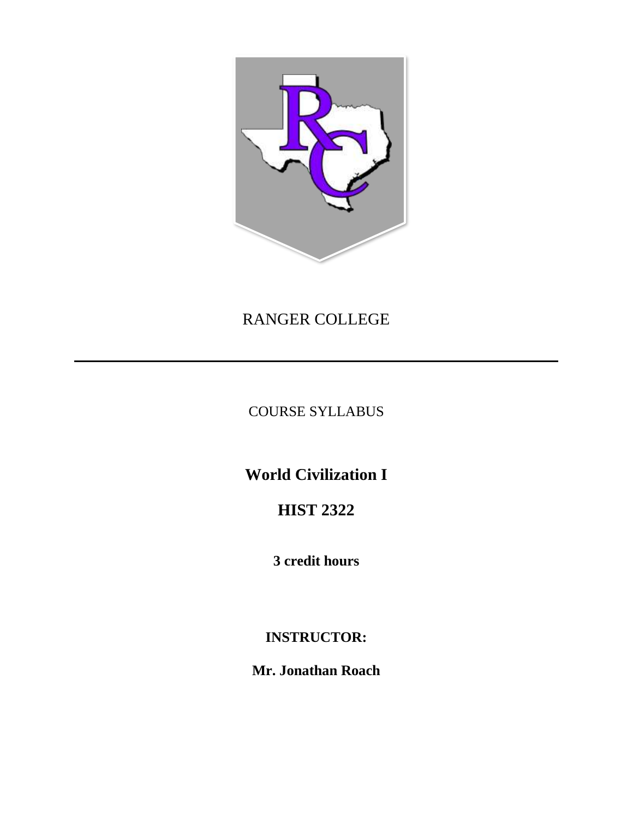

# RANGER COLLEGE

COURSE SYLLABUS

**World Civilization I**

**HIST 2322**

**3 credit hours**

**INSTRUCTOR:**

**Mr. Jonathan Roach**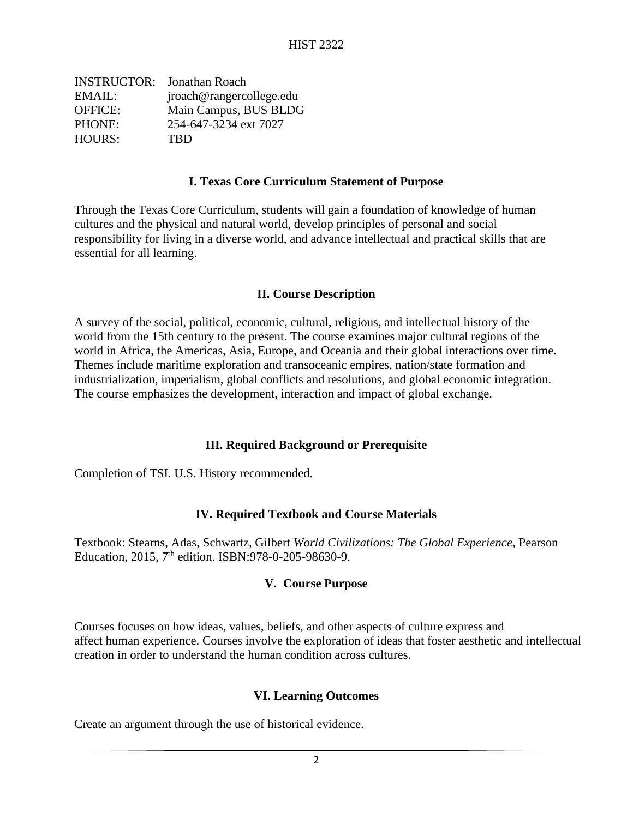| <b>INSTRUCTOR:</b> Jonathan Roach |
|-----------------------------------|
| jroach@rangercollege.edu          |
| Main Campus, BUS BLDG             |
| 254-647-3234 ext 7027             |
| <b>TRD</b>                        |
|                                   |

#### **I. Texas Core Curriculum Statement of Purpose**

Through the Texas Core Curriculum, students will gain a foundation of knowledge of human cultures and the physical and natural world, develop principles of personal and social responsibility for living in a diverse world, and advance intellectual and practical skills that are essential for all learning.

#### **II. Course Description**

A survey of the social, political, economic, cultural, religious, and intellectual history of the world from the 15th century to the present. The course examines major cultural regions of the world in Africa, the Americas, Asia, Europe, and Oceania and their global interactions over time. Themes include maritime exploration and transoceanic empires, nation/state formation and industrialization, imperialism, global conflicts and resolutions, and global economic integration. The course emphasizes the development, interaction and impact of global exchange.

### **III. Required Background or Prerequisite**

Completion of TSI. U.S. History recommended.

### **IV. Required Textbook and Course Materials**

Textbook: Stearns, Adas, Schwartz, Gilbert *World Civilizations: The Global Experience,* Pearson Education, 2015, 7<sup>th</sup> edition. ISBN:978-0-205-98630-9.

### **V. Course Purpose**

Courses focuses on how ideas, values, beliefs, and other aspects of culture express and affect human experience. Courses involve the exploration of ideas that foster aesthetic and intellectual creation in order to understand the human condition across cultures.

### **VI. Learning Outcomes**

Create an argument through the use of historical evidence.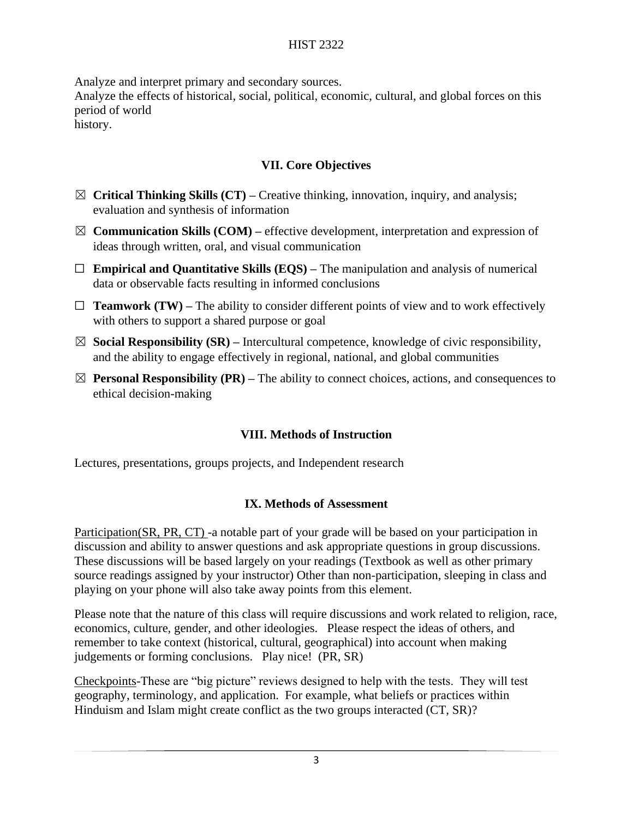### HIST 2322

Analyze and interpret primary and secondary sources.

Analyze the effects of historical, social, political, economic, cultural, and global forces on this period of world

history.

# **VII. Core Objectives**

- ☒ **Critical Thinking Skills (CT) –** Creative thinking, innovation, inquiry, and analysis; evaluation and synthesis of information
- ☒ **Communication Skills (COM) –** effective development, interpretation and expression of ideas through written, oral, and visual communication
- ☐ **Empirical and Quantitative Skills (EQS) –** The manipulation and analysis of numerical data or observable facts resulting in informed conclusions
- $\Box$  **Teamwork (TW)** The ability to consider different points of view and to work effectively with others to support a shared purpose or goal
- $\boxtimes$  **Social Responsibility (SR)** Intercultural competence, knowledge of civic responsibility, and the ability to engage effectively in regional, national, and global communities
- $\boxtimes$  **Personal Responsibility (PR)** The ability to connect choices, actions, and consequences to ethical decision-making

### **VIII. Methods of Instruction**

Lectures, presentations, groups projects, and Independent research

### **IX. Methods of Assessment**

Participation(SR, PR, CT) -a notable part of your grade will be based on your participation in discussion and ability to answer questions and ask appropriate questions in group discussions. These discussions will be based largely on your readings (Textbook as well as other primary source readings assigned by your instructor) Other than non-participation, sleeping in class and playing on your phone will also take away points from this element.

Please note that the nature of this class will require discussions and work related to religion, race, economics, culture, gender, and other ideologies. Please respect the ideas of others, and remember to take context (historical, cultural, geographical) into account when making judgements or forming conclusions. Play nice! (PR, SR)

Checkpoints-These are "big picture" reviews designed to help with the tests. They will test geography, terminology, and application. For example, what beliefs or practices within Hinduism and Islam might create conflict as the two groups interacted (CT, SR)?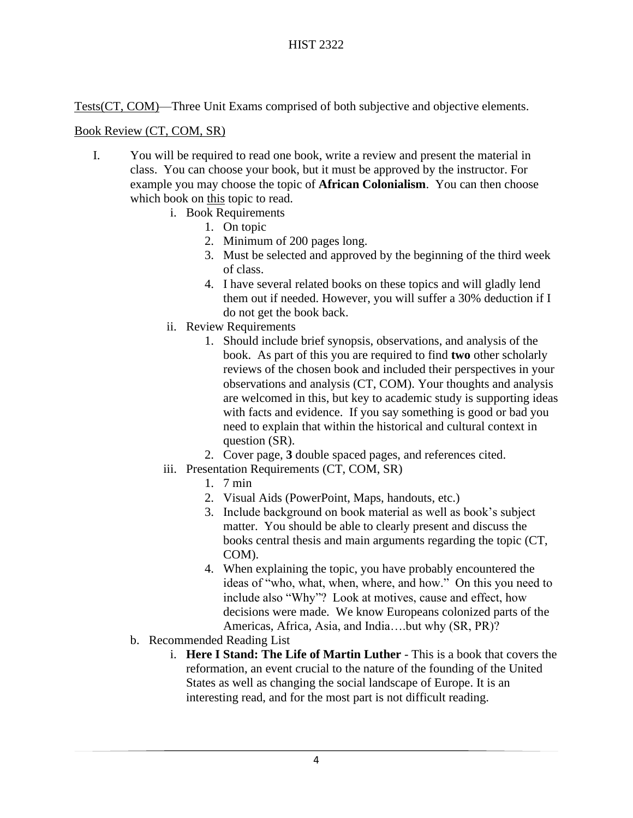Tests(CT, COM)—Three Unit Exams comprised of both subjective and objective elements.

## Book Review (CT, COM, SR)

- I. You will be required to read one book, write a review and present the material in class. You can choose your book, but it must be approved by the instructor. For example you may choose the topic of **African Colonialism**. You can then choose which book on this topic to read.
	- i. Book Requirements
		- 1. On topic
		- 2. Minimum of 200 pages long.
		- 3. Must be selected and approved by the beginning of the third week of class.
		- 4. I have several related books on these topics and will gladly lend them out if needed. However, you will suffer a 30% deduction if I do not get the book back.
	- ii. Review Requirements
		- 1. Should include brief synopsis, observations, and analysis of the book. As part of this you are required to find **two** other scholarly reviews of the chosen book and included their perspectives in your observations and analysis (CT, COM). Your thoughts and analysis are welcomed in this, but key to academic study is supporting ideas with facts and evidence. If you say something is good or bad you need to explain that within the historical and cultural context in question (SR).
		- 2. Cover page, **3** double spaced pages, and references cited.
	- iii. Presentation Requirements (CT, COM, SR)
		- 1. 7 min
		- 2. Visual Aids (PowerPoint, Maps, handouts, etc.)
		- 3. Include background on book material as well as book's subject matter. You should be able to clearly present and discuss the books central thesis and main arguments regarding the topic (CT, COM).
		- 4. When explaining the topic, you have probably encountered the ideas of "who, what, when, where, and how." On this you need to include also "Why"? Look at motives, cause and effect, how decisions were made. We know Europeans colonized parts of the Americas, Africa, Asia, and India….but why (SR, PR)?
	- b. Recommended Reading List
		- i. **Here I Stand: The Life of Martin Luther** This is a book that covers the reformation, an event crucial to the nature of the founding of the United States as well as changing the social landscape of Europe. It is an interesting read, and for the most part is not difficult reading.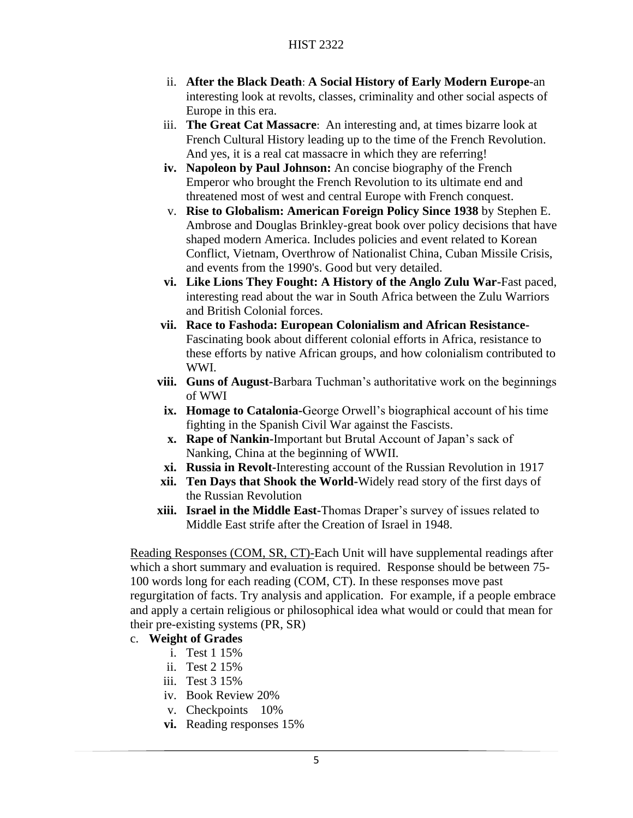- ii. **After the Black Death**: **A Social History of Early Modern Europe**-an interesting look at revolts, classes, criminality and other social aspects of Europe in this era.
- iii. **The Great Cat Massacre**: An interesting and, at times bizarre look at French Cultural History leading up to the time of the French Revolution. And yes, it is a real cat massacre in which they are referring!
- **iv. Napoleon by Paul Johnson:** An concise biography of the French Emperor who brought the French Revolution to its ultimate end and threatened most of west and central Europe with French conquest.
- v. **Rise to Globalism: American Foreign Policy Since 1938** by Stephen E. Ambrose and Douglas Brinkley-great book over policy decisions that have shaped modern America. Includes policies and event related to Korean Conflict, Vietnam, Overthrow of Nationalist China, Cuban Missile Crisis, and events from the 1990's. Good but very detailed.
- **vi. Like Lions They Fought: A History of the Anglo Zulu War-**Fast paced, interesting read about the war in South Africa between the Zulu Warriors and British Colonial forces.
- **vii. Race to Fashoda: European Colonialism and African Resistance-**Fascinating book about different colonial efforts in Africa, resistance to these efforts by native African groups, and how colonialism contributed to WWI.
- **viii. Guns of August-**Barbara Tuchman's authoritative work on the beginnings of WWI
- **ix. Homage to Catalonia-**George Orwell's biographical account of his time fighting in the Spanish Civil War against the Fascists.
- **x. Rape of Nankin-**Important but Brutal Account of Japan's sack of Nanking, China at the beginning of WWII.
- **xi. Russia in Revolt-**Interesting account of the Russian Revolution in 1917
- **xii. Ten Days that Shook the World-**Widely read story of the first days of the Russian Revolution
- **xiii. Israel in the Middle East-**Thomas Draper's survey of issues related to Middle East strife after the Creation of Israel in 1948.

Reading Responses (COM, SR, CT)-Each Unit will have supplemental readings after which a short summary and evaluation is required. Response should be between 75- 100 words long for each reading (COM, CT). In these responses move past regurgitation of facts. Try analysis and application. For example, if a people embrace and apply a certain religious or philosophical idea what would or could that mean for their pre-existing systems (PR, SR)

### c. **Weight of Grades**

- i. Test 1 15%
- ii. Test 2 15%
- iii. Test 3 15%
- iv. Book Review 20%
- v. Checkpoints 10%
- **vi.** Reading responses 15%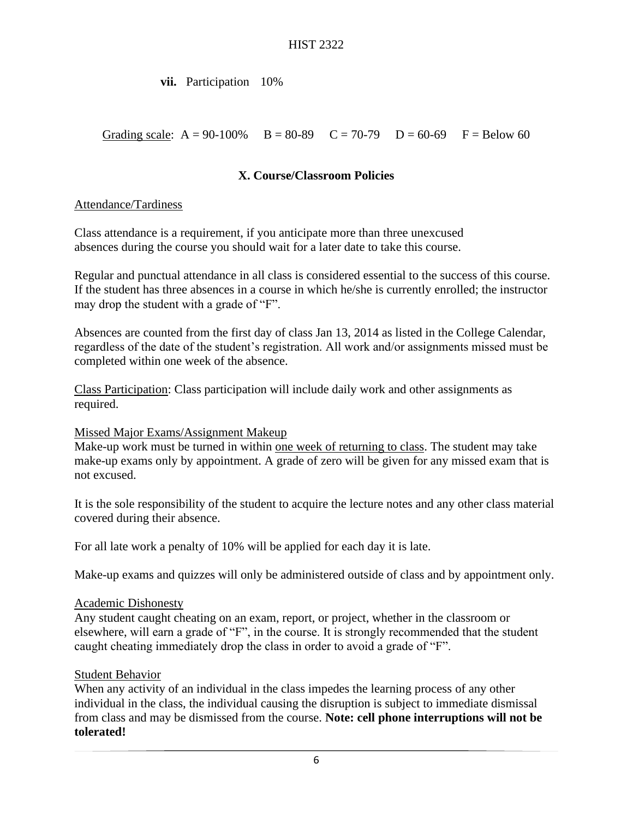### **vii.** Participation 10%

Grading scale:  $A = 90-100\%$  B = 80-89 C = 70-79 D = 60-69 F = Below 60

### **X. Course/Classroom Policies**

### Attendance/Tardiness

Class attendance is a requirement, if you anticipate more than three unexcused absences during the course you should wait for a later date to take this course.

Regular and punctual attendance in all class is considered essential to the success of this course. If the student has three absences in a course in which he/she is currently enrolled; the instructor may drop the student with a grade of "F".

Absences are counted from the first day of class Jan 13, 2014 as listed in the College Calendar, regardless of the date of the student's registration. All work and/or assignments missed must be completed within one week of the absence.

Class Participation: Class participation will include daily work and other assignments as required.

### Missed Major Exams/Assignment Makeup

Make-up work must be turned in within one week of returning to class. The student may take make-up exams only by appointment. A grade of zero will be given for any missed exam that is not excused.

It is the sole responsibility of the student to acquire the lecture notes and any other class material covered during their absence.

For all late work a penalty of 10% will be applied for each day it is late.

Make-up exams and quizzes will only be administered outside of class and by appointment only.

#### Academic Dishonesty

Any student caught cheating on an exam, report, or project, whether in the classroom or elsewhere, will earn a grade of "F", in the course. It is strongly recommended that the student caught cheating immediately drop the class in order to avoid a grade of "F".

### Student Behavior

When any activity of an individual in the class impedes the learning process of any other individual in the class, the individual causing the disruption is subject to immediate dismissal from class and may be dismissed from the course. **Note: cell phone interruptions will not be tolerated!**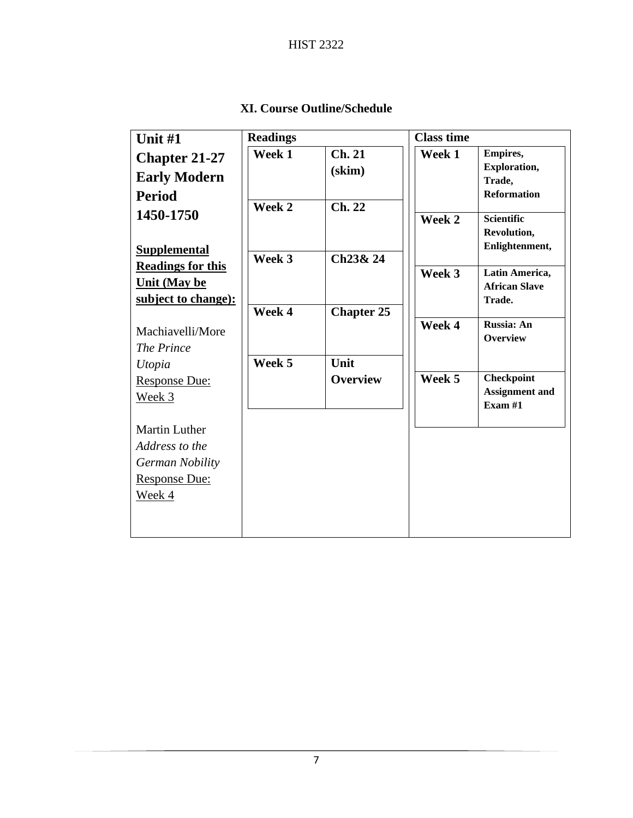| Unit #1                  | <b>Readings</b> |                          | <b>Class time</b> |                                    |
|--------------------------|-----------------|--------------------------|-------------------|------------------------------------|
| <b>Chapter 21-27</b>     | Week 1          | Ch. 21                   | Week 1            | <b>Empires,</b>                    |
| <b>Early Modern</b>      |                 | (skim)                   |                   | Exploration,                       |
| <b>Period</b>            |                 |                          |                   | Trade,<br><b>Reformation</b>       |
|                          | Week 2          | Ch. 22                   |                   |                                    |
| 1450-1750                |                 |                          | Week 2            | <b>Scientific</b>                  |
|                          |                 |                          |                   | Revolution,                        |
| <b>Supplemental</b>      | Week 3          | Ch <sub>23&amp;</sub> 24 |                   | Enlightenment,                     |
| <b>Readings for this</b> |                 |                          | Week 3            | Latin America,                     |
| <b>Unit (May be</b>      |                 |                          |                   | <b>African Slave</b>               |
| subject to change):      |                 |                          |                   | Trade.                             |
|                          | Week 4          | <b>Chapter 25</b>        | Week 4            | Russia: An                         |
| Machiavelli/More         |                 |                          |                   | Overview                           |
| The Prince               |                 |                          |                   |                                    |
| Utopia                   | Week 5          | Unit                     |                   |                                    |
| <b>Response Due:</b>     |                 | <b>Overview</b>          | Week 5            | <b>Checkpoint</b>                  |
| Week 3                   |                 |                          |                   | <b>Assignment and</b><br>Exam $#1$ |
|                          |                 |                          |                   |                                    |
| <b>Martin Luther</b>     |                 |                          |                   |                                    |
| Address to the           |                 |                          |                   |                                    |
| German Nobility          |                 |                          |                   |                                    |
| <b>Response Due:</b>     |                 |                          |                   |                                    |
| Week 4                   |                 |                          |                   |                                    |
|                          |                 |                          |                   |                                    |
|                          |                 |                          |                   |                                    |

**XI. Course Outline/Schedule**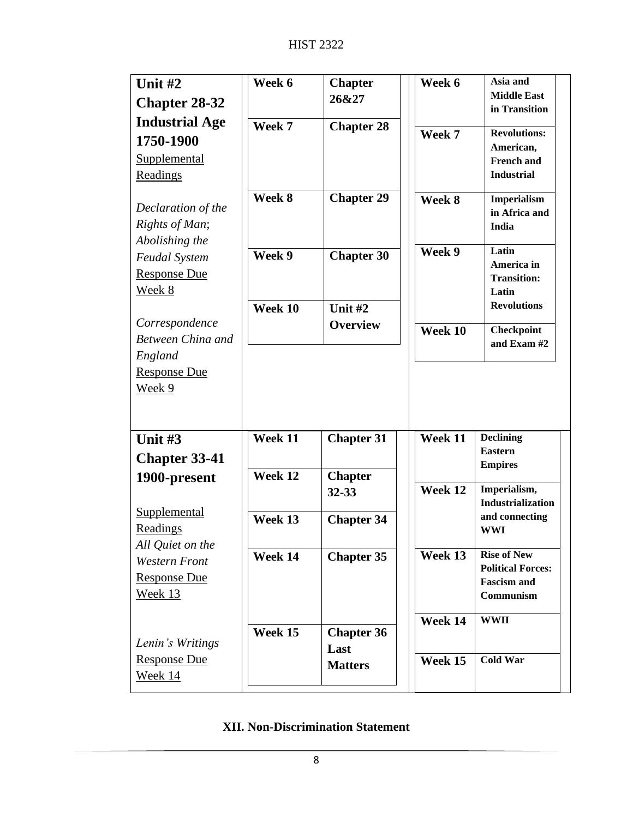| Unit $#2$                     | Week 6  | <b>Chapter</b>    | Week 6  | Asia and                                       |
|-------------------------------|---------|-------------------|---------|------------------------------------------------|
| <b>Chapter 28-32</b>          |         | 26&27             |         | <b>Middle East</b><br>in Transition            |
| <b>Industrial Age</b>         | Week 7  | <b>Chapter 28</b> |         |                                                |
| 1750-1900                     |         |                   | Week 7  | <b>Revolutions:</b>                            |
| <b>Supplemental</b>           |         |                   |         | American,<br><b>French and</b>                 |
| Readings                      |         |                   |         | <b>Industrial</b>                              |
|                               | Week 8  | <b>Chapter 29</b> | Week 8  | Imperialism                                    |
| Declaration of the            |         |                   |         | in Africa and                                  |
| Rights of Man;                |         |                   |         | India                                          |
| Abolishing the                |         |                   | Week 9  | Latin                                          |
| <b>Feudal System</b>          | Week 9  | <b>Chapter 30</b> |         | America in                                     |
| <b>Response Due</b>           |         |                   |         | <b>Transition:</b>                             |
| <u>Week 8</u>                 |         |                   |         | Latin                                          |
|                               | Week 10 | Unit #2           |         | <b>Revolutions</b>                             |
| Correspondence                |         | <b>Overview</b>   | Week 10 | <b>Checkpoint</b>                              |
| Between China and             |         |                   |         | and Exam #2                                    |
| England                       |         |                   |         |                                                |
| <b>Response Due</b><br>Week 9 |         |                   |         |                                                |
|                               |         |                   |         |                                                |
|                               |         |                   |         |                                                |
| Unit $#3$                     | Week 11 | <b>Chapter 31</b> | Week 11 | <b>Declining</b>                               |
| <b>Chapter 33-41</b>          |         |                   |         | <b>Eastern</b>                                 |
| 1900-present                  | Week 12 | <b>Chapter</b>    |         | <b>Empires</b>                                 |
|                               |         | 32-33             | Week 12 | Imperialism,                                   |
| Supplemental                  |         |                   |         | <b>Industrialization</b>                       |
| Readings                      | Week 13 | <b>Chapter 34</b> |         | and connecting<br><b>WWI</b>                   |
| All Quiet on the              |         |                   |         |                                                |
| <b>Western Front</b>          | Week 14 | <b>Chapter 35</b> | Week 13 | <b>Rise of New</b>                             |
| <b>Response Due</b>           |         |                   |         | <b>Political Forces:</b><br><b>Fascism and</b> |
| <u>Week 13</u>                |         |                   |         | <b>Communism</b>                               |
|                               |         |                   |         |                                                |
|                               | Week 15 | <b>Chapter 36</b> | Week 14 | <b>WWII</b>                                    |
|                               |         |                   |         |                                                |
| Lenin's Writings              |         |                   |         |                                                |
| <b>Response Due</b>           |         | Last              | Week 15 | <b>Cold War</b>                                |
| Week 14                       |         | <b>Matters</b>    |         |                                                |

# **XII. Non-Discrimination Statement**